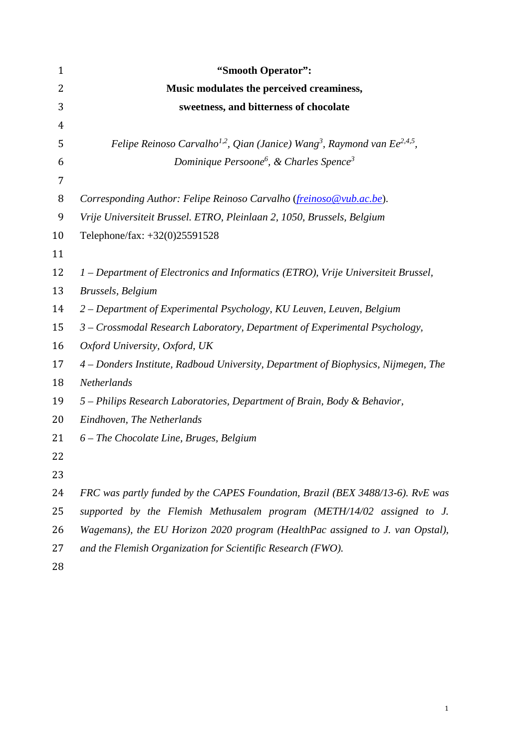| $\mathbf{1}$ | "Smooth Operator":                                                                                           |
|--------------|--------------------------------------------------------------------------------------------------------------|
| 2            | Music modulates the perceived creaminess,                                                                    |
| 3            | sweetness, and bitterness of chocolate                                                                       |
| 4            |                                                                                                              |
| 5            | Felipe Reinoso Carvalho <sup>1,2</sup> , Qian (Janice) Wang <sup>3</sup> , Raymond van Ee <sup>2,4,5</sup> , |
| 6            | Dominique Persoone <sup>6</sup> , & Charles Spence <sup>3</sup>                                              |
| 7            |                                                                                                              |
| 8            | Corresponding Author: Felipe Reinoso Carvalho (freinoso@vub.ac.be).                                          |
| 9            | Vrije Universiteit Brussel. ETRO, Pleinlaan 2, 1050, Brussels, Belgium                                       |
| 10           | Telephone/fax: +32(0)25591528                                                                                |
| 11           |                                                                                                              |
| 12           | 1 – Department of Electronics and Informatics (ETRO), Vrije Universiteit Brussel,                            |
| 13           | Brussels, Belgium                                                                                            |
| 14           | 2 – Department of Experimental Psychology, KU Leuven, Leuven, Belgium                                        |
| 15           | 3 - Crossmodal Research Laboratory, Department of Experimental Psychology,                                   |
| 16           | Oxford University, Oxford, UK                                                                                |
| 17           | 4 - Donders Institute, Radboud University, Department of Biophysics, Nijmegen, The                           |
| 18           | Netherlands                                                                                                  |
| 19           | 5 – Philips Research Laboratories, Department of Brain, Body & Behavior,                                     |
| 20           | Eindhoven, The Netherlands                                                                                   |
| 21           | $6$ – The Chocolate Line, Bruges, Belgium                                                                    |
| 22           |                                                                                                              |
| 23           |                                                                                                              |
| 24           | FRC was partly funded by the CAPES Foundation, Brazil (BEX 3488/13-6). RvE was                               |
| 25           | supported by the Flemish Methusalem program (METH/14/02 assigned to J.                                       |
| 26           | Wagemans), the EU Horizon 2020 program (HealthPac assigned to J. van Opstal),                                |
| 27           | and the Flemish Organization for Scientific Research (FWO).                                                  |
|              |                                                                                                              |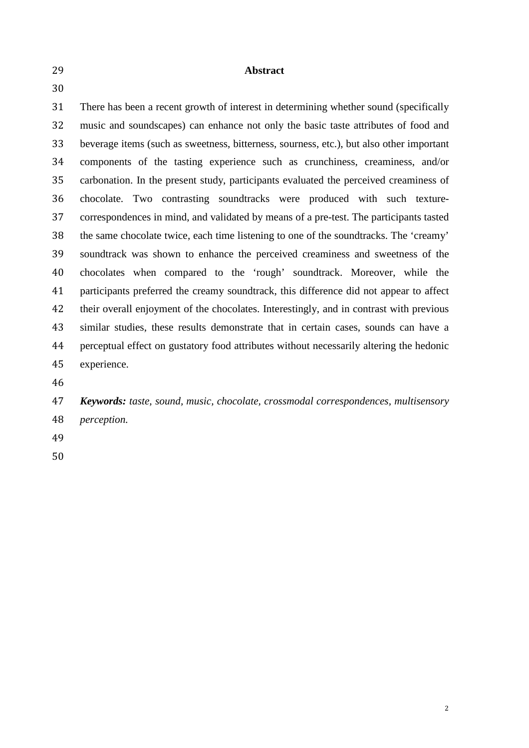**Abstract**

 There has been a recent growth of interest in determining whether sound (specifically music and soundscapes) can enhance not only the basic taste attributes of food and beverage items (such as sweetness, bitterness, sourness, etc.), but also other important components of the tasting experience such as crunchiness, creaminess, and/or carbonation. In the present study, participants evaluated the perceived creaminess of chocolate. Two contrasting soundtracks were produced with such texture- correspondences in mind, and validated by means of a pre-test. The participants tasted the same chocolate twice, each time listening to one of the soundtracks. The 'creamy' soundtrack was shown to enhance the perceived creaminess and sweetness of the chocolates when compared to the 'rough' soundtrack. Moreover, while the participants preferred the creamy soundtrack, this difference did not appear to affect their overall enjoyment of the chocolates. Interestingly, and in contrast with previous similar studies, these results demonstrate that in certain cases, sounds can have a perceptual effect on gustatory food attributes without necessarily altering the hedonic experience.

 *Keywords: taste, sound, music, chocolate, crossmodal correspondences, multisensory perception.*

- 
-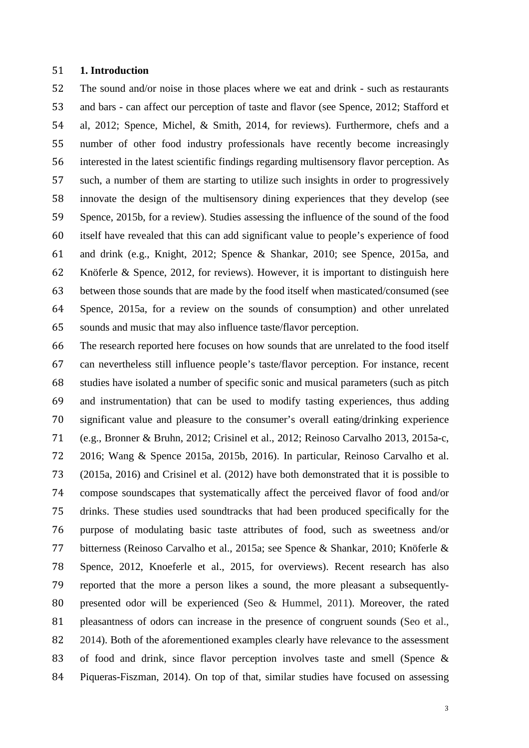#### **1. Introduction**

 The sound and/or noise in those places where we eat and drink - such as restaurants and bars - can affect our perception of taste and flavor (see Spence, 2012; Stafford et al, 2012; Spence, Michel, & Smith, 2014, for reviews). Furthermore, chefs and a number of other food industry professionals have recently become increasingly interested in the latest scientific findings regarding multisensory flavor perception. As such, a number of them are starting to utilize such insights in order to progressively innovate the design of the multisensory dining experiences that they develop (see Spence, 2015b, for a review). Studies assessing the influence of the sound of the food itself have revealed that this can add significant value to people's experience of food and drink (e.g., Knight, 2012; Spence & Shankar, 2010; see Spence, 2015a, and Knöferle & Spence, 2012, for reviews). However, it is important to distinguish here between those sounds that are made by the food itself when masticated/consumed (see Spence, 2015a, for a review on the sounds of consumption) and other unrelated sounds and music that may also influence taste/flavor perception.

 The research reported here focuses on how sounds that are unrelated to the food itself can nevertheless still influence people's taste/flavor perception. For instance, recent studies have isolated a number of specific sonic and musical parameters (such as pitch and instrumentation) that can be used to modify tasting experiences, thus adding significant value and pleasure to the consumer's overall eating/drinking experience (e.g., Bronner & Bruhn, 2012; Crisinel et al., 2012; Reinoso Carvalho 2013, 2015a-c, 2016; Wang & Spence 2015a, 2015b, 2016). In particular, Reinoso Carvalho et al. (2015a, 2016) and Crisinel et al. (2012) have both demonstrated that it is possible to compose soundscapes that systematically affect the perceived flavor of food and/or drinks. These studies used soundtracks that had been produced specifically for the purpose of modulating basic taste attributes of food, such as sweetness and/or bitterness (Reinoso Carvalho et al., 2015a; see Spence & Shankar, 2010; Knöferle & Spence, 2012, Knoeferle et al., 2015, for overviews). Recent research has also reported that the more a person likes a sound, the more pleasant a subsequently- presented odor will be experienced (Seo & Hummel, 2011). Moreover, the rated 81 pleasantness of odors can increase in the presence of congruent sounds (Seo et al., 2014). Both of the aforementioned examples clearly have relevance to the assessment of food and drink, since flavor perception involves taste and smell (Spence & Piqueras-Fiszman, 2014). On top of that, similar studies have focused on assessing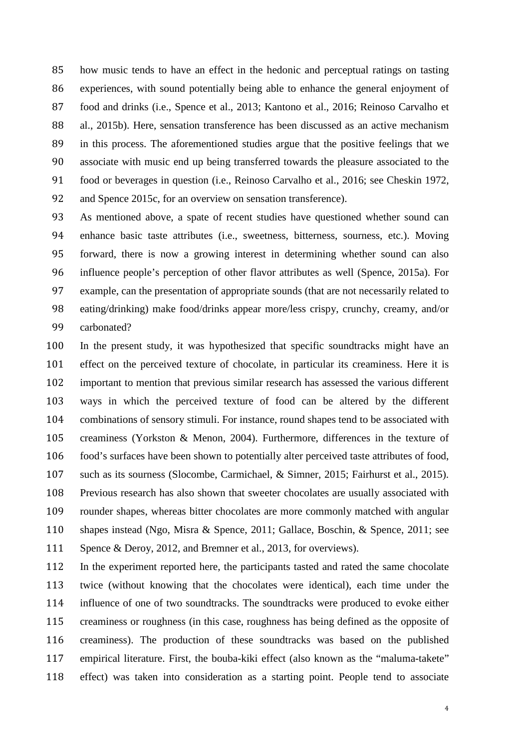how music tends to have an effect in the hedonic and perceptual ratings on tasting experiences, with sound potentially being able to enhance the general enjoyment of food and drinks (i.e., Spence et al., 2013; Kantono et al., 2016; Reinoso Carvalho et al., 2015b). Here, sensation transference has been discussed as an active mechanism in this process. The aforementioned studies argue that the positive feelings that we associate with music end up being transferred towards the pleasure associated to the food or beverages in question (i.e., Reinoso Carvalho et al., 2016; see Cheskin 1972, 92 and Spence 2015c, for an overview on sensation transference).

 As mentioned above, a spate of recent studies have questioned whether sound can enhance basic taste attributes (i.e., sweetness, bitterness, sourness, etc.). Moving forward, there is now a growing interest in determining whether sound can also influence people's perception of other flavor attributes as well (Spence, 2015a). For example, can the presentation of appropriate sounds (that are not necessarily related to eating/drinking) make food/drinks appear more/less crispy, crunchy, creamy, and/or carbonated?

 In the present study, it was hypothesized that specific soundtracks might have an effect on the perceived texture of chocolate, in particular its creaminess. Here it is important to mention that previous similar research has assessed the various different ways in which the perceived texture of food can be altered by the different combinations of sensory stimuli. For instance, round shapes tend to be associated with creaminess (Yorkston & Menon, 2004). Furthermore, differences in the texture of food's surfaces have been shown to potentially alter perceived taste attributes of food, such as its sourness (Slocombe, Carmichael, & Simner, 2015; Fairhurst et al., 2015). Previous research has also shown that sweeter chocolates are usually associated with rounder shapes, whereas bitter chocolates are more commonly matched with angular shapes instead (Ngo, Misra & Spence, 2011; Gallace, Boschin, & Spence, 2011; see Spence & Deroy, 2012, and Bremner et al., 2013, for overviews).

 In the experiment reported here, the participants tasted and rated the same chocolate twice (without knowing that the chocolates were identical), each time under the influence of one of two soundtracks. The soundtracks were produced to evoke either creaminess or roughness (in this case, roughness has being defined as the opposite of creaminess). The production of these soundtracks was based on the published empirical literature. First, the bouba-kiki effect (also known as the "maluma-takete" effect) was taken into consideration as a starting point. People tend to associate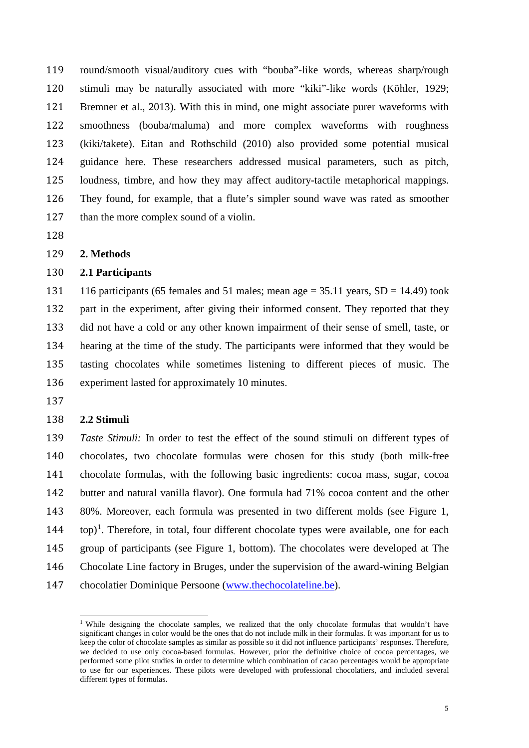round/smooth visual/auditory cues with "bouba"-like words, whereas sharp/rough stimuli may be naturally associated with more "kiki"-like words (Köhler, 1929; Bremner et al., 2013). With this in mind, one might associate purer waveforms with smoothness (bouba/maluma) and more complex waveforms with roughness (kiki/takete). Eitan and Rothschild (2010) also provided some potential musical guidance here. These researchers addressed musical parameters, such as pitch, loudness, timbre, and how they may affect auditory-tactile metaphorical mappings. They found, for example, that a flute's simpler sound wave was rated as smoother 127 than the more complex sound of a violin.

#### **2. Methods**

### **2.1 Participants**

131 116 participants (65 females and 51 males; mean age  $= 35.11$  years,  $SD = 14.49$ ) took part in the experiment, after giving their informed consent. They reported that they did not have a cold or any other known impairment of their sense of smell, taste, or hearing at the time of the study. The participants were informed that they would be tasting chocolates while sometimes listening to different pieces of music. The experiment lasted for approximately 10 minutes.

#### **2.2 Stimuli**

 *Taste Stimuli:* In order to test the effect of the sound stimuli on different types of chocolates, two chocolate formulas were chosen for this study (both milk-free chocolate formulas, with the following basic ingredients: cocoa mass, sugar, cocoa butter and natural vanilla flavor). One formula had 71% cocoa content and the other 80%. Moreover, each formula was presented in two different molds (see Figure 1,  $144$  top)<sup>1</sup>. Therefore, in total, four different chocolate types were available, one for each group of participants (see Figure 1, bottom). The chocolates were developed at The Chocolate Line factory in Bruges, under the supervision of the award-wining Belgian 147 chocolatier Dominique Persoone [\(www.thechocolateline.be\)](http://www.thechocolateline.be/).

<span id="page-4-0"></span><sup>&</sup>lt;sup>1</sup> While designing the chocolate samples, we realized that the only chocolate formulas that wouldn't have significant changes in color would be the ones that do not include milk in their formulas. It was important for us to keep the color of chocolate samples as similar as possible so it did not influence participants' responses. Therefore, we decided to use only cocoa-based formulas. However, prior the definitive choice of cocoa percentages, we performed some pilot studies in order to determine which combination of cacao percentages would be appropriate to use for our experiences. These pilots were developed with professional chocolatiers, and included several different types of formulas.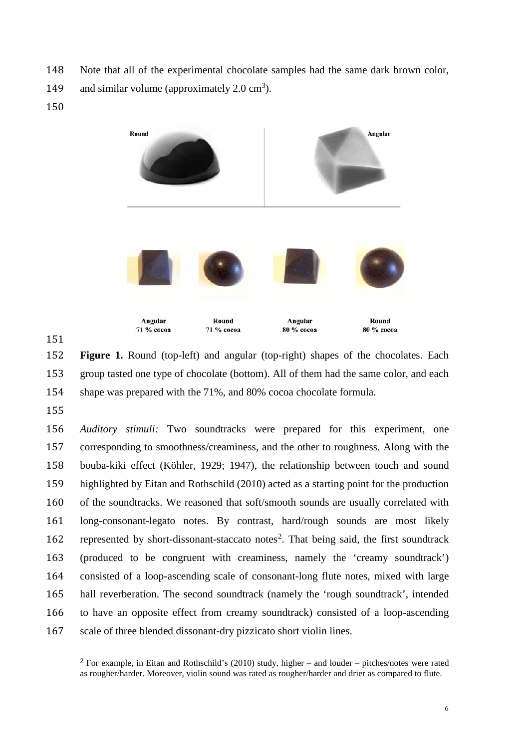- Note that all of the experimental chocolate samples had the same dark brown color,
- 149 and similar volume (approximately  $2.0 \text{ cm}^3$ ).
- 



 **Figure 1.** Round (top-left) and angular (top-right) shapes of the chocolates. Each group tasted one type of chocolate (bottom). All of them had the same color, and each shape was prepared with the 71%, and 80% cocoa chocolate formula.

 *Auditory stimuli:* Two soundtracks were prepared for this experiment, one corresponding to smoothness/creaminess, and the other to roughness. Along with the bouba-kiki effect (Köhler, 1929; 1947), the relationship between touch and sound highlighted by Eitan and Rothschild (2010) acted as a starting point for the production of the soundtracks. We reasoned that soft/smooth sounds are usually correlated with long-consonant-legato notes. By contrast, hard/rough sounds are most likely [2](#page-5-0) represented by short-dissonant-staccato notes<sup>2</sup>. That being said, the first soundtrack (produced to be congruent with creaminess, namely the 'creamy soundtrack') consisted of a loop-ascending scale of consonant-long flute notes, mixed with large hall reverberation. The second soundtrack (namely the 'rough soundtrack', intended to have an opposite effect from creamy soundtrack) consisted of a loop-ascending scale of three blended dissonant-dry pizzicato short violin lines.

<span id="page-5-0"></span> For example, in Eitan and Rothschild's (2010) study, higher – and louder – pitches/notes were rated as rougher/harder. Moreover, violin sound was rated as rougher/harder and drier as compared to flute.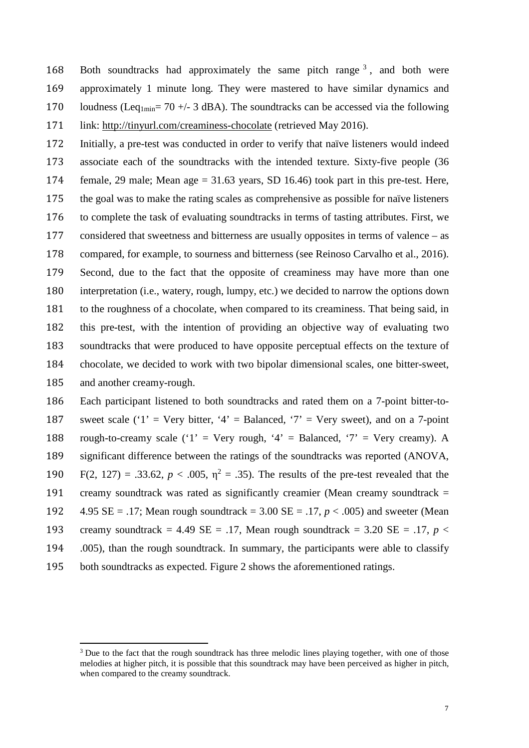168 Both soundtracks had approximately the same pitch range , and both were approximately 1 minute long. They were mastered to have similar dynamics and 170 loudness (Leq<sub>1min</sub>= 70 +/- 3 dBA). The soundtracks can be accessed via the following link: http://tinyurl.com/creaminess-chocolate (retrieved May 2016).

 Initially, a pre-test was conducted in order to verify that naïve listeners would indeed associate each of the soundtracks with the intended texture. Sixty-five people (36 female, 29 male; Mean age = 31.63 years, SD 16.46) took part in this pre-test. Here, the goal was to make the rating scales as comprehensive as possible for naïve listeners to complete the task of evaluating soundtracks in terms of tasting attributes. First, we considered that sweetness and bitterness are usually opposites in terms of valence – as compared, for example, to sourness and bitterness (see Reinoso Carvalho et al., 2016). Second, due to the fact that the opposite of creaminess may have more than one interpretation (i.e., watery, rough, lumpy, etc.) we decided to narrow the options down to the roughness of a chocolate, when compared to its creaminess. That being said, in this pre-test, with the intention of providing an objective way of evaluating two soundtracks that were produced to have opposite perceptual effects on the texture of chocolate, we decided to work with two bipolar dimensional scales, one bitter-sweet, and another creamy-rough.

 Each participant listened to both soundtracks and rated them on a 7-point bitter-to-187 sweet scale ('1' = Very bitter, '4' = Balanced, '7' = Very sweet), and on a 7-point 188 rough-to-creamy scale  $(1)$  = Very rough,  $4$  = Balanced,  $7$  = Very creamy). A significant difference between the ratings of the soundtracks was reported (ANOVA, 190 F(2, 127) = .33.62,  $p < .005$ ,  $\eta^2 = .35$ ). The results of the pre-test revealed that the creamy soundtrack was rated as significantly creamier (Mean creamy soundtrack = 4.95 SE = .17; Mean rough soundtrack = 3.00 SE = .17, *p* < .005) and sweeter (Mean 193 creamy soundtrack = 4.49 SE = .17, Mean rough soundtrack = 3.20 SE = .17,  $p <$  .005), than the rough soundtrack. In summary, the participants were able to classify both soundtracks as expected. Figure 2 shows the aforementioned ratings.

<span id="page-6-0"></span> Due to the fact that the rough soundtrack has three melodic lines playing together, with one of those melodies at higher pitch, it is possible that this soundtrack may have been perceived as higher in pitch, when compared to the creamy soundtrack.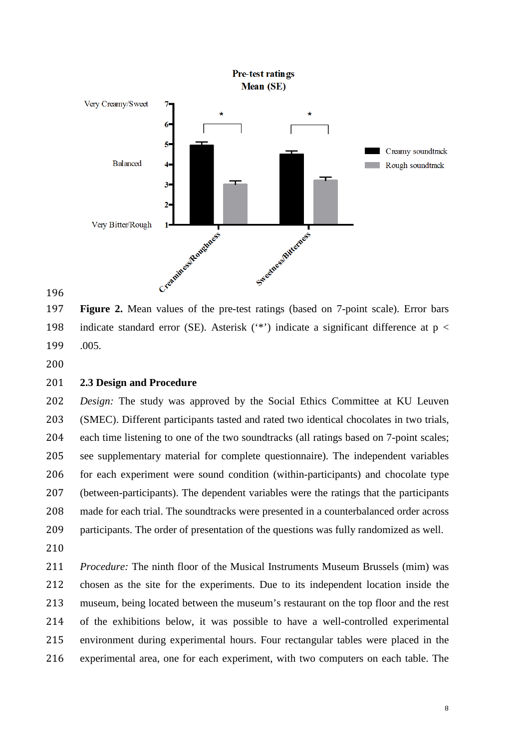

 **Figure 2.** Mean values of the pre-test ratings (based on 7-point scale). Error bars 198 indicate standard error (SE). Asterisk  $(4)$  indicate a significant difference at p < .005.

#### **2.3 Design and Procedure**

 *Design:* The study was approved by the Social Ethics Committee at KU Leuven (SMEC). Different participants tasted and rated two identical chocolates in two trials, each time listening to one of the two soundtracks (all ratings based on 7-point scales; see supplementary material for complete questionnaire). The independent variables for each experiment were sound condition (within-participants) and chocolate type (between-participants). The dependent variables were the ratings that the participants made for each trial. The soundtracks were presented in a counterbalanced order across participants. The order of presentation of the questions was fully randomized as well. 

 *Procedure:* The ninth floor of the Musical Instruments Museum Brussels (mim) was chosen as the site for the experiments. Due to its independent location inside the museum, being located between the museum's restaurant on the top floor and the rest of the exhibitions below, it was possible to have a well-controlled experimental environment during experimental hours. Four rectangular tables were placed in the experimental area, one for each experiment, with two computers on each table. The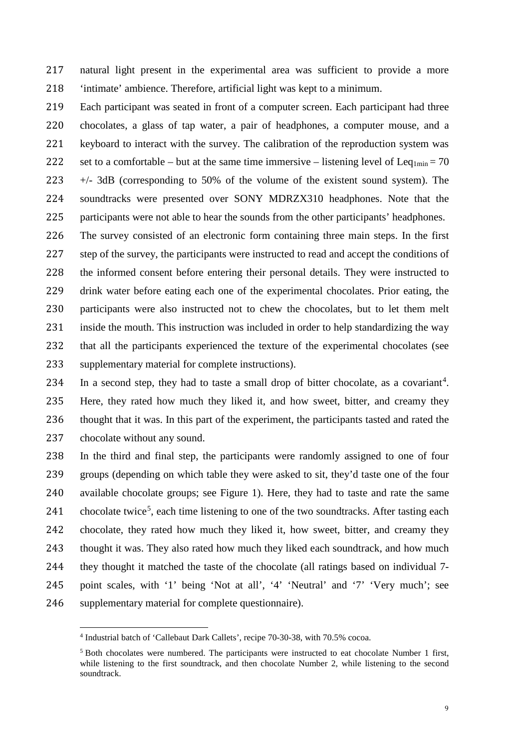natural light present in the experimental area was sufficient to provide a more 'intimate' ambience. Therefore, artificial light was kept to a minimum.

- Each participant was seated in front of a computer screen. Each participant had three chocolates, a glass of tap water, a pair of headphones, a computer mouse, and a keyboard to interact with the survey. The calibration of the reproduction system was 222 set to a comfortable – but at the same time immersive – listening level of Leq<sub>1min</sub> = 70 +/- 3dB (corresponding to 50% of the volume of the existent sound system). The soundtracks were presented over SONY MDRZX310 headphones. Note that the participants were not able to hear the sounds from the other participants' headphones. The survey consisted of an electronic form containing three main steps. In the first
- 227 step of the survey, the participants were instructed to read and accept the conditions of the informed consent before entering their personal details. They were instructed to drink water before eating each one of the experimental chocolates. Prior eating, the participants were also instructed not to chew the chocolates, but to let them melt inside the mouth. This instruction was included in order to help standardizing the way that all the participants experienced the texture of the experimental chocolates (see supplementary material for complete instructions).
- [4](#page-8-0) In a second step, they had to taste a small drop of bitter chocolate, as a covariant<sup>4</sup>. Here, they rated how much they liked it, and how sweet, bitter, and creamy they thought that it was. In this part of the experiment, the participants tasted and rated the chocolate without any sound.
- In the third and final step, the participants were randomly assigned to one of four groups (depending on which table they were asked to sit, they'd taste one of the four available chocolate groups; see Figure 1). Here, they had to taste and rate the same 241 chocolate twice<sup>[5](#page-8-1)</sup>, each time listening to one of the two soundtracks. After tasting each chocolate, they rated how much they liked it, how sweet, bitter, and creamy they thought it was. They also rated how much they liked each soundtrack, and how much they thought it matched the taste of the chocolate (all ratings based on individual 7- point scales, with '1' being 'Not at all', '4' 'Neutral' and '7' 'Very much'; see supplementary material for complete questionnaire).

<span id="page-8-0"></span><sup>4</sup> Industrial batch of 'Callebaut Dark Callets', recipe 70-30-38, with 70.5% cocoa.

<span id="page-8-1"></span> $<sup>5</sup>$  Both chocolates were numbered. The participants were instructed to eat chocolate Number 1 first,</sup> while listening to the first soundtrack, and then chocolate Number 2, while listening to the second soundtrack.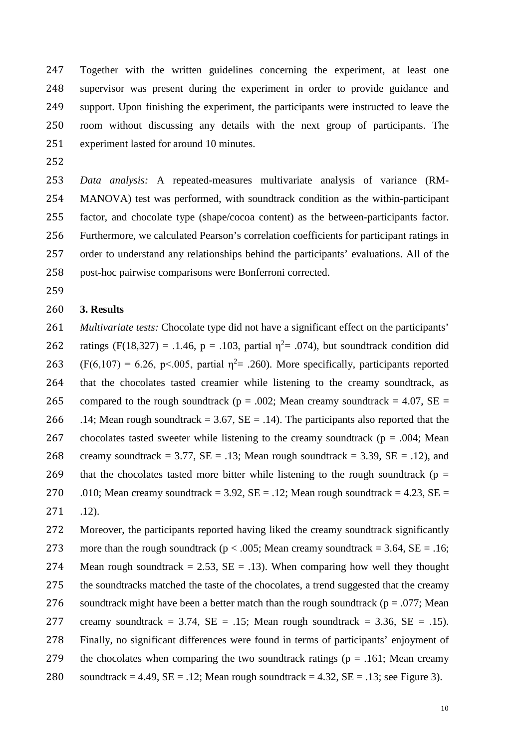Together with the written guidelines concerning the experiment, at least one supervisor was present during the experiment in order to provide guidance and support. Upon finishing the experiment, the participants were instructed to leave the room without discussing any details with the next group of participants. The experiment lasted for around 10 minutes.

252

 *Data analysis:* A repeated-measures multivariate analysis of variance (RM- MANOVA) test was performed, with soundtrack condition as the within-participant factor, and chocolate type (shape/cocoa content) as the between-participants factor. Furthermore, we calculated Pearson's correlation coefficients for participant ratings in order to understand any relationships behind the participants' evaluations. All of the post-hoc pairwise comparisons were Bonferroni corrected.

259

### 260 **3. Results**

261 *Multivariate tests:* Chocolate type did not have a significant effect on the participants' 262 ratings (F(18,327) = .1.46, p = .103, partial  $\eta^2$  = .074), but soundtrack condition did 263 (F(6,107) = 6.26, p<.005, partial  $\eta^2$  = .260). More specifically, participants reported 264 that the chocolates tasted creamier while listening to the creamy soundtrack, as 265 compared to the rough soundtrack ( $p = .002$ ; Mean creamy soundtrack = 4.07, SE = 266 .14; Mean rough soundtrack = 3.67,  $SE = .14$ ). The participants also reported that the 267 chocolates tasted sweeter while listening to the creamy soundtrack ( $p = .004$ ; Mean 268 creamy soundtrack = 3.77,  $SE = .13$ ; Mean rough soundtrack = 3.39,  $SE = .12$ ), and 269 that the chocolates tasted more bitter while listening to the rough soundtrack ( $p =$ 270 .010; Mean creamy soundtrack = 3.92,  $SE = .12$ ; Mean rough soundtrack = 4.23,  $SE =$ 271 .12).

272 Moreover, the participants reported having liked the creamy soundtrack significantly 273 more than the rough soundtrack ( $p < .005$ ; Mean creamy soundtrack = 3.64, SE = .16; 274 Mean rough soundtrack = 2.53,  $SE = .13$ ). When comparing how well they thought 275 the soundtracks matched the taste of the chocolates, a trend suggested that the creamy 276 soundtrack might have been a better match than the rough soundtrack ( $p = .077$ ; Mean 277 creamy soundtrack = 3.74,  $SE = .15$ ; Mean rough soundtrack = 3.36,  $SE = .15$ ). 278 Finally, no significant differences were found in terms of participants' enjoyment of 279 the chocolates when comparing the two soundtrack ratings ( $p = .161$ ; Mean creamy 280 soundtrack = 4.49,  $SE = .12$ ; Mean rough soundtrack = 4.32,  $SE = .13$ ; see Figure 3).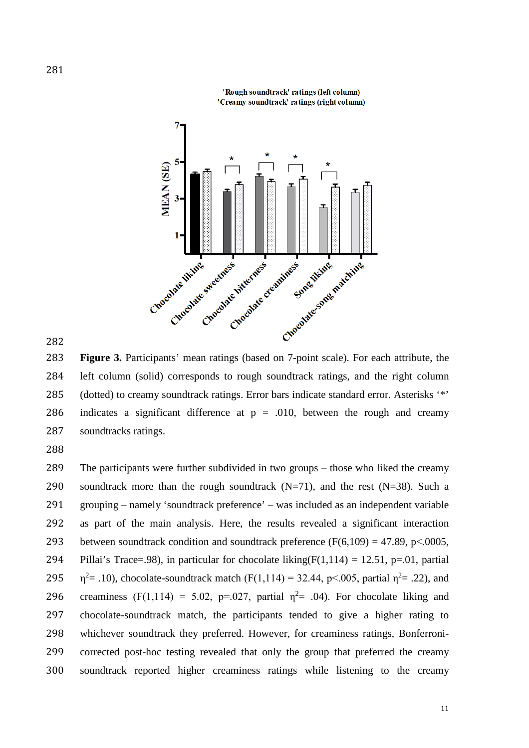

'Rough soundtrack' ratings (left column) 'Creamy soundtrack' ratings (right column)

283 **Figure 3.** Participants' mean ratings (based on 7-point scale). For each attribute, the 284 left column (solid) corresponds to rough soundtrack ratings, and the right column 285 (dotted) to creamy soundtrack ratings. Error bars indicate standard error. Asterisks '\*' 286 indicates a significant difference at  $p = .010$ , between the rough and creamy 287 soundtracks ratings.

288

 The participants were further subdivided in two groups – those who liked the creamy 290 soundtrack more than the rough soundtrack  $(N=71)$ , and the rest  $(N=38)$ . Such a grouping – namely 'soundtrack preference' – was included as an independent variable as part of the main analysis. Here, the results revealed a significant interaction 293 between soundtrack condition and soundtrack preference  $(F(6,109) = 47.89, p < .0005,$ 294 Pillai's Trace=.98), in particular for chocolate liking( $F(1,114) = 12.51$ , p=.01, partial  $\eta^2$  = .10), chocolate-soundtrack match (F(1,114) = 32.44, p < .005, partial  $\eta^2$  = .22), and 296 creaminess (F(1,114) = 5.02, p=.027, partial  $\eta^2$  = .04). For chocolate liking and chocolate-soundtrack match, the participants tended to give a higher rating to whichever soundtrack they preferred. However, for creaminess ratings, Bonferroni- corrected post-hoc testing revealed that only the group that preferred the creamy soundtrack reported higher creaminess ratings while listening to the creamy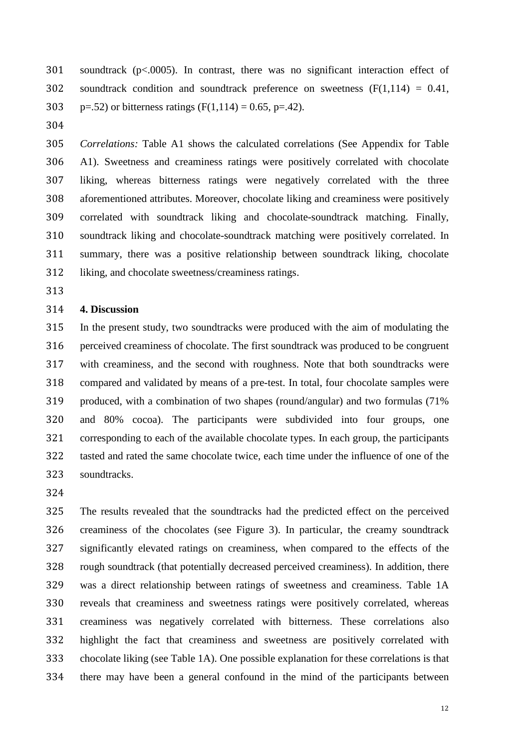soundtrack (p<.0005). In contrast, there was no significant interaction effect of 302 soundtrack condition and soundtrack preference on sweetness  $(F(1,114) = 0.41,$ 303 p=.52) or bitterness ratings  $(F(1,114) = 0.65, p=42)$ .

 *Correlations:* Table A1 shows the calculated correlations (See Appendix for Table A1). Sweetness and creaminess ratings were positively correlated with chocolate liking, whereas bitterness ratings were negatively correlated with the three aforementioned attributes. Moreover, chocolate liking and creaminess were positively correlated with soundtrack liking and chocolate-soundtrack matching. Finally, soundtrack liking and chocolate-soundtrack matching were positively correlated. In summary, there was a positive relationship between soundtrack liking, chocolate liking, and chocolate sweetness/creaminess ratings.

#### **4. Discussion**

 In the present study, two soundtracks were produced with the aim of modulating the perceived creaminess of chocolate. The first soundtrack was produced to be congruent with creaminess, and the second with roughness. Note that both soundtracks were compared and validated by means of a pre-test. In total, four chocolate samples were produced, with a combination of two shapes (round/angular) and two formulas (71% and 80% cocoa). The participants were subdivided into four groups, one corresponding to each of the available chocolate types. In each group, the participants tasted and rated the same chocolate twice, each time under the influence of one of the soundtracks.

 The results revealed that the soundtracks had the predicted effect on the perceived creaminess of the chocolates (see Figure 3). In particular, the creamy soundtrack significantly elevated ratings on creaminess, when compared to the effects of the rough soundtrack (that potentially decreased perceived creaminess). In addition, there was a direct relationship between ratings of sweetness and creaminess. Table 1A reveals that creaminess and sweetness ratings were positively correlated, whereas creaminess was negatively correlated with bitterness. These correlations also highlight the fact that creaminess and sweetness are positively correlated with chocolate liking (see Table 1A). One possible explanation for these correlations is that there may have been a general confound in the mind of the participants between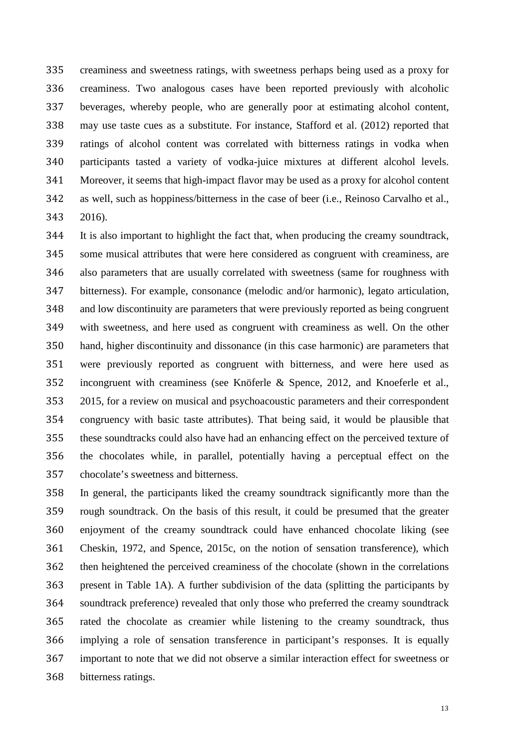creaminess and sweetness ratings, with sweetness perhaps being used as a proxy for creaminess. Two analogous cases have been reported previously with alcoholic beverages, whereby people, who are generally poor at estimating alcohol content, may use taste cues as a substitute. For instance, Stafford et al. (2012) reported that ratings of alcohol content was correlated with bitterness ratings in vodka when participants tasted a variety of vodka-juice mixtures at different alcohol levels. Moreover, it seems that high-impact flavor may be used as a proxy for alcohol content as well, such as hoppiness/bitterness in the case of beer (i.e., Reinoso Carvalho et al., 2016).

 It is also important to highlight the fact that, when producing the creamy soundtrack, some musical attributes that were here considered as congruent with creaminess, are also parameters that are usually correlated with sweetness (same for roughness with bitterness). For example, consonance (melodic and/or harmonic), legato articulation, and low discontinuity are parameters that were previously reported as being congruent with sweetness, and here used as congruent with creaminess as well. On the other hand, higher discontinuity and dissonance (in this case harmonic) are parameters that were previously reported as congruent with bitterness, and were here used as incongruent with creaminess (see Knöferle & Spence, 2012, and Knoeferle et al., 2015, for a review on musical and psychoacoustic parameters and their correspondent congruency with basic taste attributes). That being said, it would be plausible that these soundtracks could also have had an enhancing effect on the perceived texture of the chocolates while, in parallel, potentially having a perceptual effect on the chocolate's sweetness and bitterness.

 In general, the participants liked the creamy soundtrack significantly more than the rough soundtrack. On the basis of this result, it could be presumed that the greater enjoyment of the creamy soundtrack could have enhanced chocolate liking (see Cheskin, 1972, and Spence, 2015c, on the notion of sensation transference), which then heightened the perceived creaminess of the chocolate (shown in the correlations present in Table 1A). A further subdivision of the data (splitting the participants by soundtrack preference) revealed that only those who preferred the creamy soundtrack rated the chocolate as creamier while listening to the creamy soundtrack, thus implying a role of sensation transference in participant's responses. It is equally important to note that we did not observe a similar interaction effect for sweetness or bitterness ratings.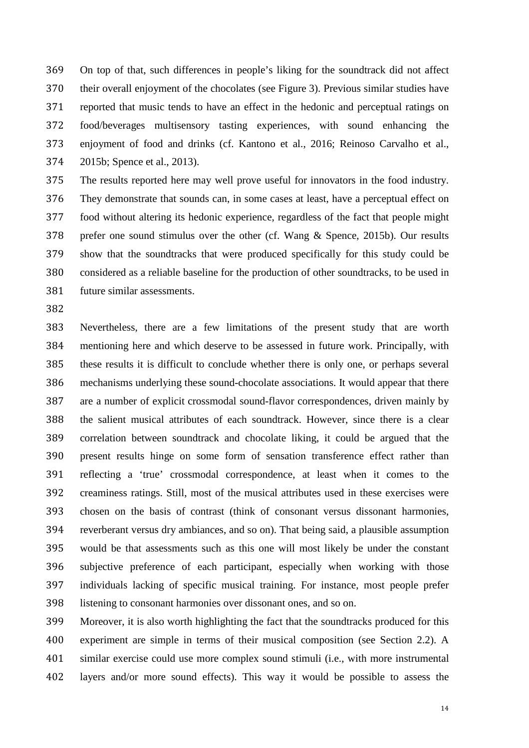On top of that, such differences in people's liking for the soundtrack did not affect their overall enjoyment of the chocolates (see Figure 3). Previous similar studies have reported that music tends to have an effect in the hedonic and perceptual ratings on food/beverages multisensory tasting experiences, with sound enhancing the enjoyment of food and drinks (cf. Kantono et al., 2016; Reinoso Carvalho et al., 2015b; Spence et al., 2013).

 The results reported here may well prove useful for innovators in the food industry. They demonstrate that sounds can, in some cases at least, have a perceptual effect on food without altering its hedonic experience, regardless of the fact that people might prefer one sound stimulus over the other (cf. Wang & Spence, 2015b). Our results show that the soundtracks that were produced specifically for this study could be considered as a reliable baseline for the production of other soundtracks, to be used in future similar assessments.

 Nevertheless, there are a few limitations of the present study that are worth mentioning here and which deserve to be assessed in future work. Principally, with these results it is difficult to conclude whether there is only one, or perhaps several mechanisms underlying these sound-chocolate associations. It would appear that there are a number of explicit crossmodal sound-flavor correspondences, driven mainly by the salient musical attributes of each soundtrack. However, since there is a clear correlation between soundtrack and chocolate liking, it could be argued that the present results hinge on some form of sensation transference effect rather than reflecting a 'true' crossmodal correspondence, at least when it comes to the creaminess ratings. Still, most of the musical attributes used in these exercises were chosen on the basis of contrast (think of consonant versus dissonant harmonies, reverberant versus dry ambiances, and so on). That being said, a plausible assumption would be that assessments such as this one will most likely be under the constant subjective preference of each participant, especially when working with those individuals lacking of specific musical training. For instance, most people prefer listening to consonant harmonies over dissonant ones, and so on.

 Moreover, it is also worth highlighting the fact that the soundtracks produced for this experiment are simple in terms of their musical composition (see Section 2.2). A similar exercise could use more complex sound stimuli (i.e., with more instrumental layers and/or more sound effects). This way it would be possible to assess the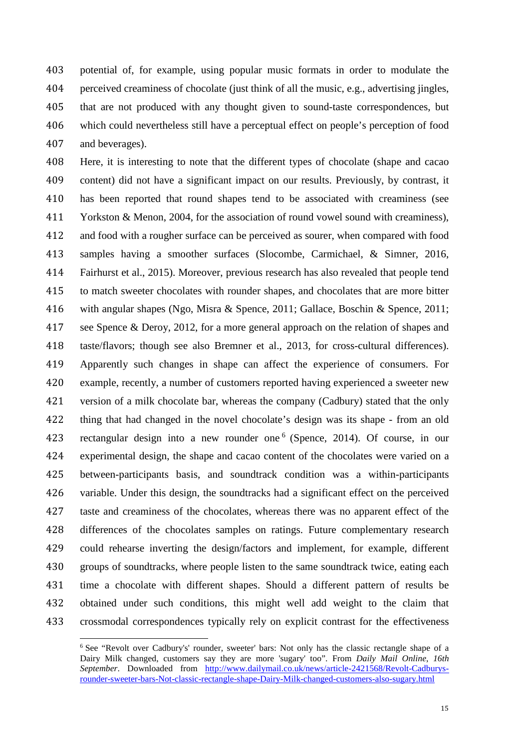potential of, for example, using popular music formats in order to modulate the perceived creaminess of chocolate (just think of all the music, e.g., advertising jingles, that are not produced with any thought given to sound-taste correspondences, but which could nevertheless still have a perceptual effect on people's perception of food and beverages).

 Here, it is interesting to note that the different types of chocolate (shape and cacao content) did not have a significant impact on our results. Previously, by contrast, it has been reported that round shapes tend to be associated with creaminess (see Yorkston & Menon, 2004, for the association of round vowel sound with creaminess), and food with a rougher surface can be perceived as sourer, when compared with food samples having a smoother surfaces (Slocombe, Carmichael, & Simner, 2016, Fairhurst et al., 2015). Moreover, previous research has also revealed that people tend to match sweeter chocolates with rounder shapes, and chocolates that are more bitter with angular shapes (Ngo, Misra & Spence, 2011; Gallace, Boschin & Spence, 2011; see Spence & Deroy, 2012, for a more general approach on the relation of shapes and taste/flavors; though see also Bremner et al., 2013, for cross-cultural differences). Apparently such changes in shape can affect the experience of consumers. For example, recently, a number of customers reported having experienced a sweeter new version of a milk chocolate bar, whereas the company (Cadbury) stated that the only thing that had changed in the novel chocolate's design was its shape - from an old 423 rectangular design into a new rounder one <sup>[6](#page-14-0)</sup> (Spence, 2014). Of course, in our experimental design, the shape and cacao content of the chocolates were varied on a between-participants basis, and soundtrack condition was a within-participants variable. Under this design, the soundtracks had a significant effect on the perceived taste and creaminess of the chocolates, whereas there was no apparent effect of the differences of the chocolates samples on ratings. Future complementary research could rehearse inverting the design/factors and implement, for example, different groups of soundtracks, where people listen to the same soundtrack twice, eating each time a chocolate with different shapes. Should a different pattern of results be obtained under such conditions, this might well add weight to the claim that crossmodal correspondences typically rely on explicit contrast for the effectiveness

<span id="page-14-0"></span><sup>6</sup> See "Revolt over Cadbury's' rounder, sweeter' bars: Not only has the classic rectangle shape of a Dairy Milk changed, customers say they are more 'sugary' too". From *Daily Mail Online*, *16th September*. Downloaded from [http://www.dailymail.co.uk/news/article-2421568/Revolt-Cadburys](http://www.dailymail.co.uk/news/article-2421568/Revolt-Cadburys-rounder-sweeter-bars-Not-classic-rectangle-shape-Dairy-Milk-changed-customers-also-sugary.html)[rounder-sweeter-bars-Not-classic-rectangle-shape-Dairy-Milk-changed-customers-also-sugary.html](http://www.dailymail.co.uk/news/article-2421568/Revolt-Cadburys-rounder-sweeter-bars-Not-classic-rectangle-shape-Dairy-Milk-changed-customers-also-sugary.html)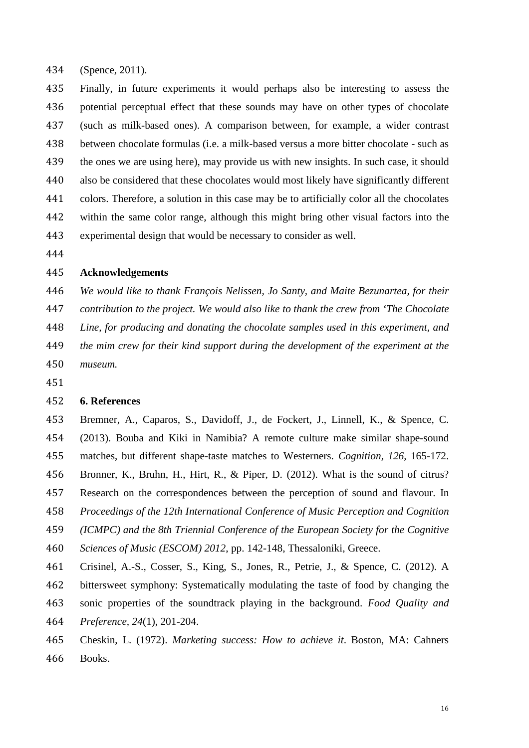(Spence, 2011).

 Finally, in future experiments it would perhaps also be interesting to assess the potential perceptual effect that these sounds may have on other types of chocolate (such as milk-based ones). A comparison between, for example, a wider contrast between chocolate formulas (i.e. a milk-based versus a more bitter chocolate - such as the ones we are using here), may provide us with new insights. In such case, it should also be considered that these chocolates would most likely have significantly different colors. Therefore, a solution in this case may be to artificially color all the chocolates within the same color range, although this might bring other visual factors into the experimental design that would be necessary to consider as well.

## **Acknowledgements**

*We would like to thank François Nelissen, Jo Santy, and Maite Bezunartea, for their* 

*contribution to the project. We would also like to thank the crew from 'The Chocolate* 

*Line, for producing and donating the chocolate samples used in this experiment, and* 

- *the mim crew for their kind support during the development of the experiment at the museum.*
- 

#### **6. References**

 Bremner, A., Caparos, S., Davidoff, J., de Fockert, J., Linnell, K., & Spence, C. (2013). Bouba and Kiki in Namibia? A remote culture make similar shape-sound matches, but different shape-taste matches to Westerners. *Cognition, 126*, 165-172. Bronner, K., Bruhn, H., Hirt, R., & Piper, D. (2012). What is the sound of citrus? Research on the correspondences between the perception of sound and flavour. In *Proceedings of the 12th International Conference of Music Perception and Cognition (ICMPC) and the 8th Triennial Conference of the European Society for the Cognitive Sciences of Music (ESCOM) 2012*, pp. 142-148, Thessaloniki, Greece.

 Crisinel, A.-S., Cosser, S., King, S., Jones, R., Petrie, J., & Spence, C. (2012). A bittersweet symphony: Systematically modulating the taste of food by changing the sonic properties of the soundtrack playing in the background. *Food Quality and Preference, 24*(1)*,* 201-204.

 Cheskin, L. (1972). *Marketing success: How to achieve it*. Boston, MA: Cahners Books.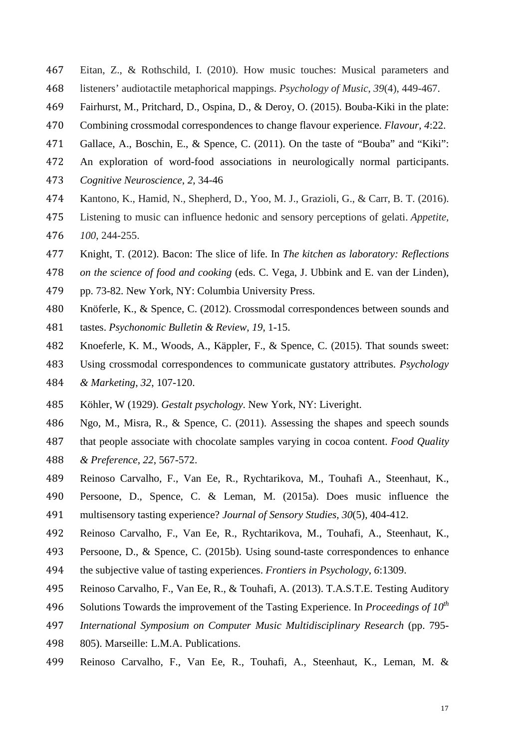- Eitan, Z., & Rothschild, I. (2010). How music touches: Musical parameters and listeners' audiotactile metaphorical mappings. *Psychology of Music*, *39*(4), 449-467.
- Fairhurst, M., Pritchard, D., Ospina, D., & Deroy, O. (2015). Bouba-Kiki in the plate:
- Combining crossmodal correspondences to change flavour experience. *Flavour, 4*:22.
- Gallace, A., Boschin, E., & Spence, C. (2011). On the taste of "Bouba" and "Kiki":
- An exploration of word-food associations in neurologically normal participants.
- *Cognitive Neuroscience*, *2*, 34-46
- Kantono, K., Hamid, N., Shepherd, D., Yoo, M. J., Grazioli, G., & Carr, B. T. (2016).
- Listening to music can influence hedonic and sensory perceptions of gelati. *Appetite,*
- *100*, 244-255.
- Knight, T. (2012). Bacon: The slice of life. In *The kitchen as laboratory: Reflections*
- *on the science of food and cooking* (eds. C. Vega, J. Ubbink and E. van der Linden),
- pp. 73-82. New York, NY: Columbia University Press.
- Knöferle, K., & Spence, C. (2012). Crossmodal correspondences between sounds and
- tastes. *Psychonomic Bulletin & Review*, *19*, 1-15.
- Knoeferle, K. M., Woods, A., Käppler, F., & Spence, C. (2015). That sounds sweet:
- Using crossmodal correspondences to communicate gustatory attributes. *Psychology & Marketing*, *32*, 107-120.
- Köhler, W (1929). *Gestalt psychology*. New York, NY: Liveright.
- Ngo, M., Misra, R., & Spence, C. (2011). Assessing the shapes and speech sounds
- that people associate with chocolate samples varying in cocoa content. *Food Quality*
- *& Preference*, *22*, 567-572.
- Reinoso Carvalho, F., Van Ee, R., Rychtarikova, M., Touhafi A., Steenhaut, K.,
- Persoone, D., Spence, C. & Leman, M. (2015a). Does music influence the
- multisensory tasting experience? *Journal of Sensory Studies, 30*(5), 404-412.
- Reinoso Carvalho, F., Van Ee, R., Rychtarikova, M., Touhafi, A., Steenhaut, K.,
- Persoone, D., & Spence, C. (2015b). Using sound-taste correspondences to enhance
- the subjective value of tasting experiences. *Frontiers in Psychology*, *6*:1309.
- Reinoso Carvalho, F., Van Ee, R., & Touhafi, A. (2013). T.A.S.T.E. Testing Auditory
- Solutions Towards the improvement of the Tasting Experience. In *Proceedings of 10th*
- *International Symposium on Computer Music Multidisciplinary Research* (pp. 795-
- 805). Marseille: L.M.A. Publications.
- Reinoso Carvalho, F., Van Ee, R., Touhafi, A., Steenhaut, K., Leman, M. &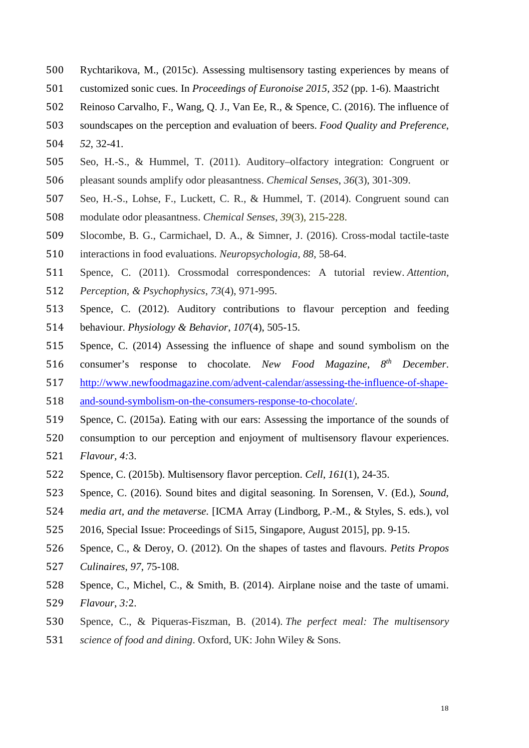- Rychtarikova, M., (2015c). Assessing multisensory tasting experiences by means of
- customized sonic cues. In *Proceedings of Euronoise 2015, 352* (pp. 1-6). Maastricht
- Reinoso Carvalho, F., Wang, Q. J., Van Ee, R., & Spence, C. (2016). The influence of
- soundscapes on the perception and evaluation of beers. *Food Quality and Preference*,
- *52*, 32-41.
- Seo, H.-S., & Hummel, T. (2011). Auditory–olfactory integration: Congruent or pleasant sounds amplify odor pleasantness. *Chemical Senses*, *36*(3), 301-309.
- Seo, H.-S., Lohse, F., Luckett, C. R., & Hummel, T. (2014). Congruent sound can
- modulate odor pleasantness. *Chemical Senses*, *39*(3), 215-228.
- Slocombe, B. G., Carmichael, D. A., & Simner, J. (2016). Cross-modal tactile-taste
- interactions in food evaluations. *Neuropsychologia, 88*, 58-64.
- Spence, C. (2011). Crossmodal correspondences: A tutorial review. *Attention, Perception, & Psychophysics*, *73*(4), 971-995.
- Spence, C. (2012). Auditory contributions to flavour perception and feeding
- behaviour. *Physiology & Behavior*, *107*(4), 505-15.
- Spence, C. (2014) Assessing the influence of shape and sound symbolism on the
- 516 consumer's response to chocolate. *New Food Magazine*,  $8^{th}$  *December*.
- [http://www.newfoodmagazine.com/advent-calendar/assessing-the-influence-of-shape-](http://www.newfoodmagazine.com/advent-calendar/assessing-the-influence-of-shape-and-sound-symbolism-on-the-consumers-response-to-chocolate/)
- [and-sound-symbolism-on-the-consumers-response-to-chocolate/.](http://www.newfoodmagazine.com/advent-calendar/assessing-the-influence-of-shape-and-sound-symbolism-on-the-consumers-response-to-chocolate/)
- Spence, C. (2015a). Eating with our ears: Assessing the importance of the sounds of
- consumption to our perception and enjoyment of multisensory flavour experiences.
- *Flavour, 4:*3.
- Spence, C. (2015b). Multisensory flavor perception. *Cell*, *161*(1), 24-35.
- Spence, C. (2016). Sound bites and digital seasoning. In Sorensen, V. (Ed.), *Sound,*
- *media art, and the metaverse*. [ICMA Array (Lindborg, P.-M., & Styles, S. eds.), vol
- 2016, Special Issue: Proceedings of Si15, Singapore, August 2015], pp. 9-15.
- Spence, C., & Deroy, O. (2012). On the shapes of tastes and flavours. *Petits Propos Culinaires*, *97*, 75-108.
- Spence, C., Michel, C., & Smith, B. (2014). Airplane noise and the taste of umami.
- *Flavour*, *3:*2.
- Spence, C., & Piqueras-Fiszman, B. (2014). *The perfect meal: The multisensory*
- *science of food and dining*. Oxford, UK: John Wiley & Sons.